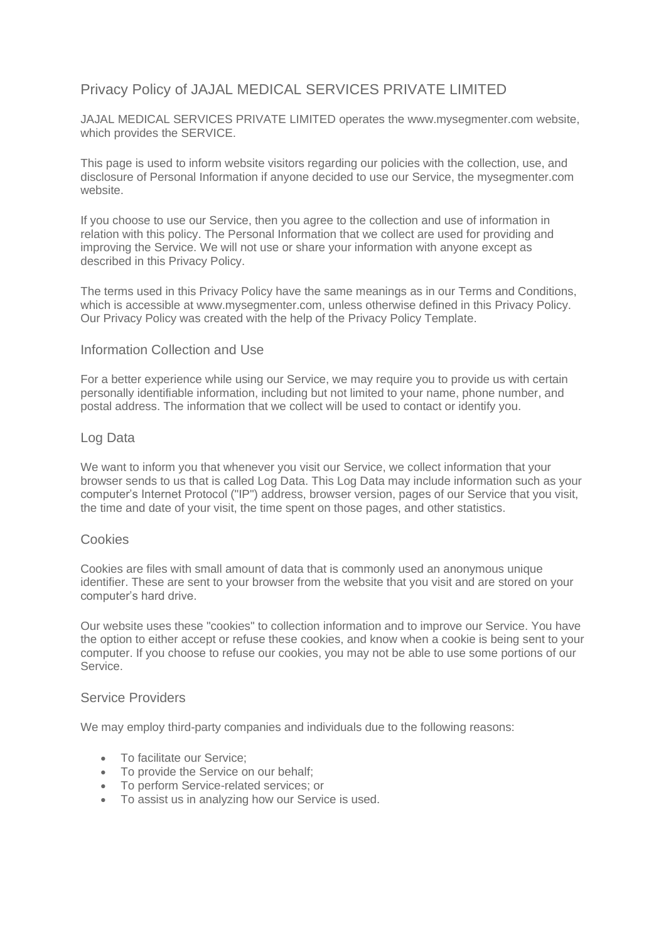# Privacy Policy of JAJAL MEDICAL SERVICES PRIVATE LIMITED

JAJAL MEDICAL SERVICES PRIVATE LIMITED operates the www.mysegmenter.com website, which provides the SERVICE.

This page is used to inform website visitors regarding our policies with the collection, use, and disclosure of Personal Information if anyone decided to use our Service, the mysegmenter.com website.

If you choose to use our Service, then you agree to the collection and use of information in relation with this policy. The Personal Information that we collect are used for providing and improving the Service. We will not use or share your information with anyone except as described in this Privacy Policy.

The terms used in this Privacy Policy have the same meanings as in our Terms and Conditions, which is accessible at www.mysegmenter.com, unless otherwise defined in this Privacy Policy. Our Privacy Policy was created with the help of the [Privacy Policy Template.](https://www.privacypolicytemplate.net/)

### Information Collection and Use

For a better experience while using our Service, we may require you to provide us with certain personally identifiable information, including but not limited to your name, phone number, and postal address. The information that we collect will be used to contact or identify you.

### Log Data

We want to inform you that whenever you visit our Service, we collect information that your browser sends to us that is called Log Data. This Log Data may include information such as your computer's Internet Protocol ("IP") address, browser version, pages of our Service that you visit, the time and date of your visit, the time spent on those pages, and other statistics.

### **Cookies**

Cookies are files with small amount of data that is commonly used an anonymous unique identifier. These are sent to your browser from the website that you visit and are stored on your computer's hard drive.

Our website uses these "cookies" to collection information and to improve our Service. You have the option to either accept or refuse these cookies, and know when a cookie is being sent to your computer. If you choose to refuse our cookies, you may not be able to use some portions of our Service.

### Service Providers

We may employ third-party companies and individuals due to the following reasons:

- To facilitate our Service;
- To provide the Service on our behalf;
- To perform Service-related services; or
- To assist us in analyzing how our Service is used.